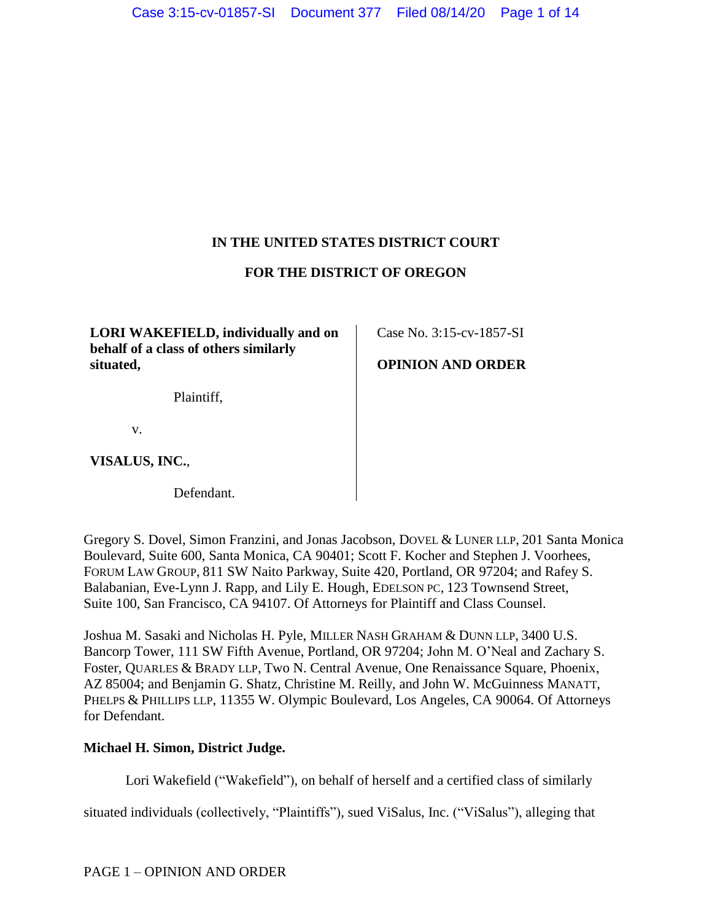# **IN THE UNITED STATES DISTRICT COURT**

## **FOR THE DISTRICT OF OREGON**

**LORI WAKEFIELD, individually and on behalf of a class of others similarly situated,**

Plaintiff,

v.

**VISALUS, INC.**,

Defendant.

Gregory S. Dovel, Simon Franzini, and Jonas Jacobson, DOVEL & LUNER LLP, 201 Santa Monica Boulevard, Suite 600, Santa Monica, CA 90401; Scott F. Kocher and Stephen J. Voorhees, FORUM LAW GROUP, 811 SW Naito Parkway, Suite 420, Portland, OR 97204; and Rafey S. Balabanian, Eve-Lynn J. Rapp, and Lily E. Hough, EDELSON PC, 123 Townsend Street, Suite 100, San Francisco, CA 94107. Of Attorneys for Plaintiff and Class Counsel.

Joshua M. Sasaki and Nicholas H. Pyle, MILLER NASH GRAHAM & DUNN LLP, 3400 U.S. Bancorp Tower, 111 SW Fifth Avenue, Portland, OR 97204; John M. O'Neal and Zachary S. Foster, QUARLES & BRADY LLP, Two N. Central Avenue, One Renaissance Square, Phoenix, AZ 85004; and Benjamin G. Shatz, Christine M. Reilly, and John W. McGuinness MANATT, PHELPS & PHILLIPS LLP, 11355 W. Olympic Boulevard, Los Angeles, CA 90064. Of Attorneys for Defendant.

## **Michael H. Simon, District Judge.**

Lori Wakefield ("Wakefield"), on behalf of herself and a certified class of similarly

situated individuals (collectively, "Plaintiffs"), sued ViSalus, Inc. ("ViSalus"), alleging that

Case No. 3:15-cv-1857-SI

**OPINION AND ORDER**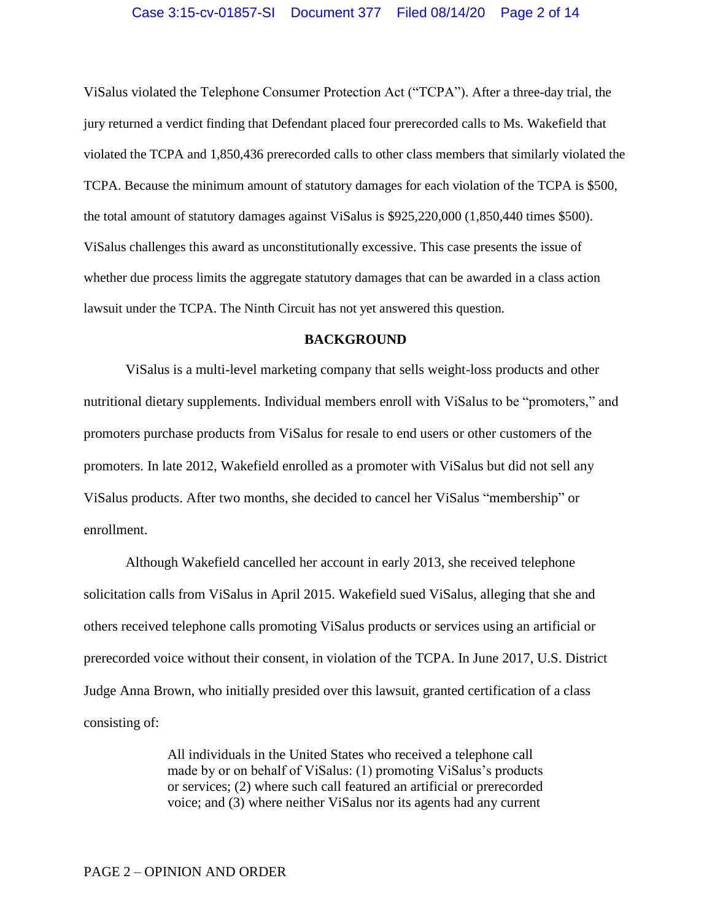ViSalus violated the Telephone Consumer Protection Act ("TCPA"). After a three-day trial, the jury returned a verdict finding that Defendant placed four prerecorded calls to Ms. Wakefield that violated the TCPA and 1,850,436 prerecorded calls to other class members that similarly violated the TCPA. Because the minimum amount of statutory damages for each violation of the TCPA is \$500, the total amount of statutory damages against ViSalus is \$925,220,000 (1,850,440 times \$500). ViSalus challenges this award as unconstitutionally excessive. This case presents the issue of whether due process limits the aggregate statutory damages that can be awarded in a class action lawsuit under the TCPA. The Ninth Circuit has not yet answered this question.

## **BACKGROUND**

ViSalus is a multi-level marketing company that sells weight-loss products and other nutritional dietary supplements. Individual members enroll with ViSalus to be "promoters," and promoters purchase products from ViSalus for resale to end users or other customers of the promoters. In late 2012, Wakefield enrolled as a promoter with ViSalus but did not sell any ViSalus products. After two months, she decided to cancel her ViSalus "membership" or enrollment.

Although Wakefield cancelled her account in early 2013, she received telephone solicitation calls from ViSalus in April 2015. Wakefield sued ViSalus, alleging that she and others received telephone calls promoting ViSalus products or services using an artificial or prerecorded voice without their consent, in violation of the TCPA. In June 2017, U.S. District Judge Anna Brown, who initially presided over this lawsuit, granted certification of a class consisting of:

> All individuals in the United States who received a telephone call made by or on behalf of ViSalus: (1) promoting ViSalus's products or services; (2) where such call featured an artificial or prerecorded voice; and (3) where neither ViSalus nor its agents had any current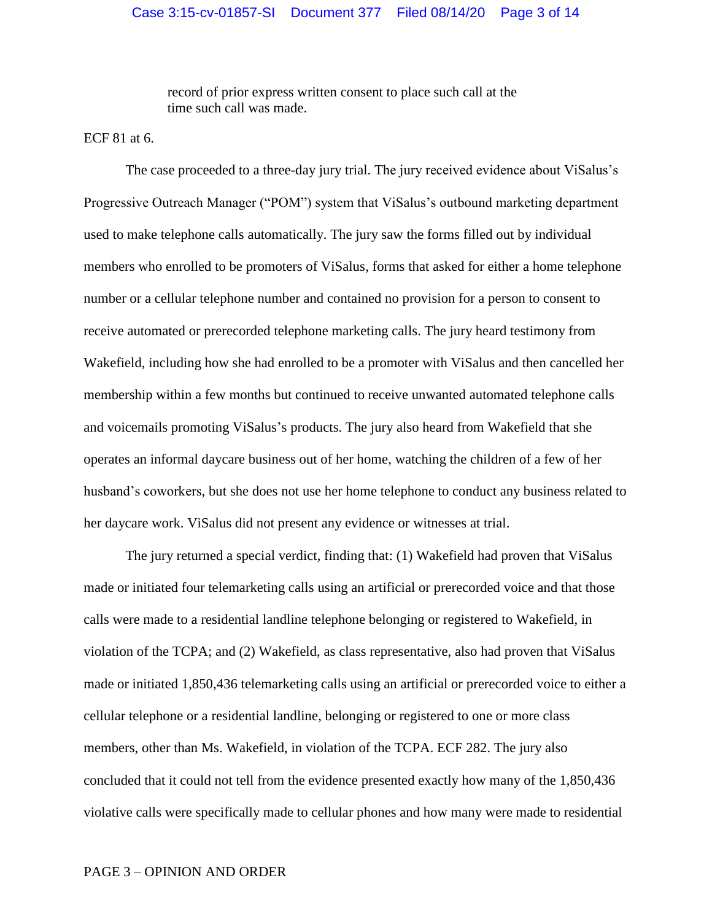record of prior express written consent to place such call at the time such call was made.

ECF 81 at 6.

The case proceeded to a three-day jury trial. The jury received evidence about ViSalus's Progressive Outreach Manager ("POM") system that ViSalus's outbound marketing department used to make telephone calls automatically. The jury saw the forms filled out by individual members who enrolled to be promoters of ViSalus, forms that asked for either a home telephone number or a cellular telephone number and contained no provision for a person to consent to receive automated or prerecorded telephone marketing calls. The jury heard testimony from Wakefield, including how she had enrolled to be a promoter with ViSalus and then cancelled her membership within a few months but continued to receive unwanted automated telephone calls and voicemails promoting ViSalus's products. The jury also heard from Wakefield that she operates an informal daycare business out of her home, watching the children of a few of her husband's coworkers, but she does not use her home telephone to conduct any business related to her daycare work. ViSalus did not present any evidence or witnesses at trial.

The jury returned a special verdict, finding that: (1) Wakefield had proven that ViSalus made or initiated four telemarketing calls using an artificial or prerecorded voice and that those calls were made to a residential landline telephone belonging or registered to Wakefield, in violation of the TCPA; and (2) Wakefield, as class representative, also had proven that ViSalus made or initiated 1,850,436 telemarketing calls using an artificial or prerecorded voice to either a cellular telephone or a residential landline, belonging or registered to one or more class members, other than Ms. Wakefield, in violation of the TCPA. ECF 282. The jury also concluded that it could not tell from the evidence presented exactly how many of the 1,850,436 violative calls were specifically made to cellular phones and how many were made to residential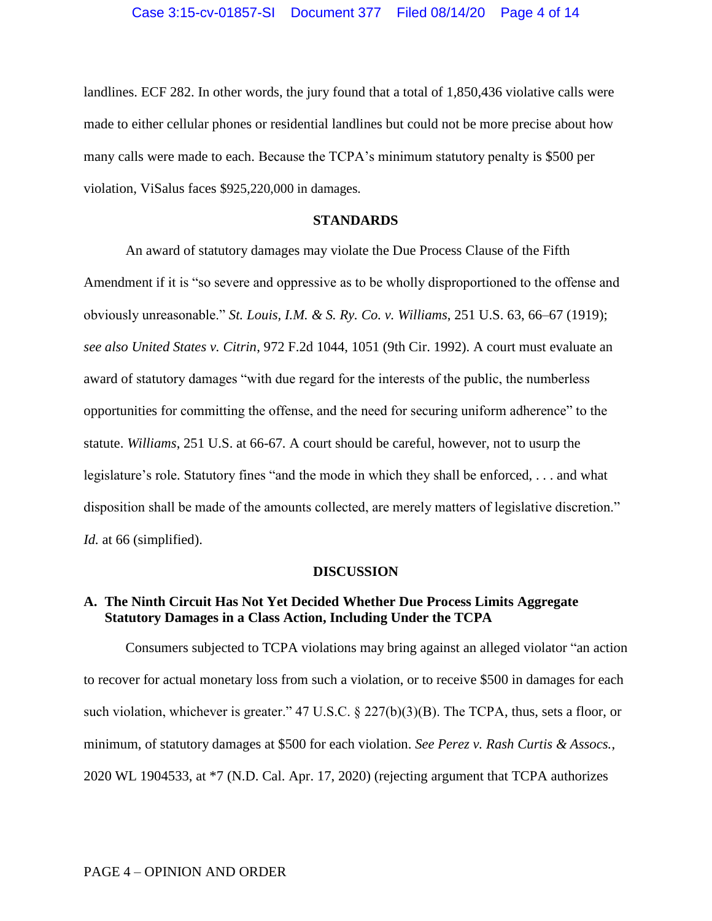landlines. ECF 282. In other words, the jury found that a total of 1,850,436 violative calls were made to either cellular phones or residential landlines but could not be more precise about how many calls were made to each. Because the TCPA's minimum statutory penalty is \$500 per violation, ViSalus faces \$925,220,000 in damages.

#### **STANDARDS**

An award of statutory damages may violate the Due Process Clause of the Fifth Amendment if it is "so severe and oppressive as to be wholly disproportioned to the offense and obviously unreasonable." *St. Louis, I.M. & S. Ry. Co. v. Williams*, 251 U.S. 63, 66–67 (1919); *see also United States v. Citrin*, 972 F.2d 1044, 1051 (9th Cir. 1992). A court must evaluate an award of statutory damages "with due regard for the interests of the public, the numberless opportunities for committing the offense, and the need for securing uniform adherence" to the statute. *Williams*, 251 U.S. at 66-67*.* A court should be careful, however, not to usurp the legislature's role. Statutory fines "and the mode in which they shall be enforced, . . . and what disposition shall be made of the amounts collected, are merely matters of legislative discretion." *Id.* at 66 (simplified).

#### **DISCUSSION**

# **A. The Ninth Circuit Has Not Yet Decided Whether Due Process Limits Aggregate Statutory Damages in a Class Action, Including Under the TCPA**

Consumers subjected to TCPA violations may bring against an alleged violator "an action to recover for actual monetary loss from such a violation, or to receive \$500 in damages for each such violation, whichever is greater." 47 U.S.C. § 227(b)(3)(B). The TCPA, thus, sets a floor, or minimum, of statutory damages at \$500 for each violation. *See Perez v. Rash Curtis & Assocs.*, 2020 WL 1904533, at \*7 (N.D. Cal. Apr. 17, 2020) (rejecting argument that TCPA authorizes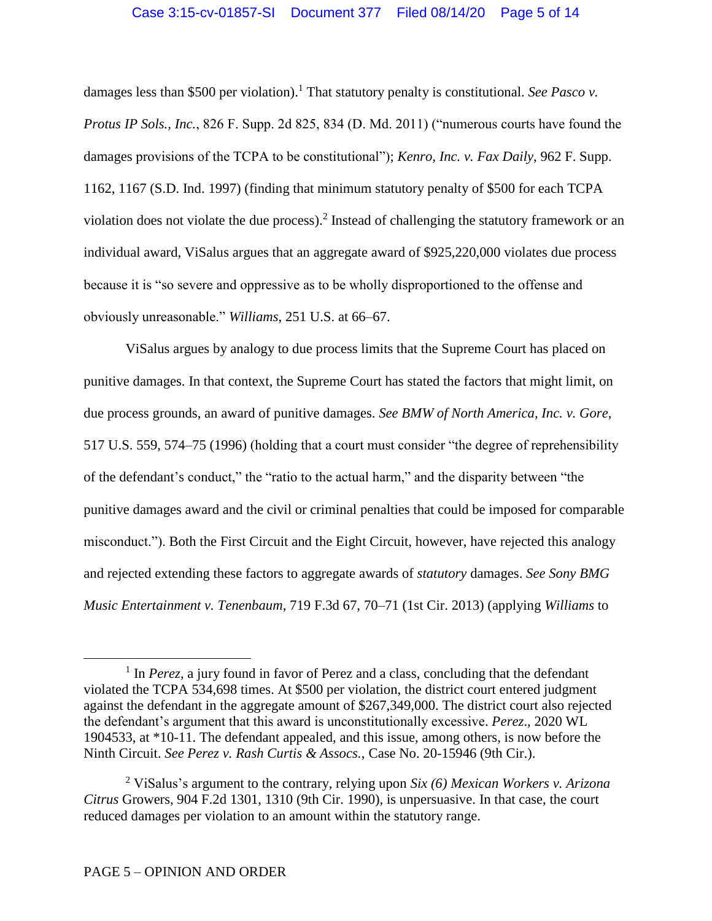damages less than \$500 per violation). <sup>1</sup> That statutory penalty is constitutional. *See Pasco v. Protus IP Sols., Inc.*, 826 F. Supp. 2d 825, 834 (D. Md. 2011) ("numerous courts have found the damages provisions of the TCPA to be constitutional"); *Kenro, Inc. v. Fax Daily*, 962 F. Supp. 1162, 1167 (S.D. Ind. 1997) (finding that minimum statutory penalty of \$500 for each TCPA violation does not violate the due process).<sup>2</sup> Instead of challenging the statutory framework or an individual award, ViSalus argues that an aggregate award of \$925,220,000 violates due process because it is "so severe and oppressive as to be wholly disproportioned to the offense and obviously unreasonable." *Williams*, 251 U.S. at 66–67.

ViSalus argues by analogy to due process limits that the Supreme Court has placed on punitive damages. In that context, the Supreme Court has stated the factors that might limit, on due process grounds, an award of punitive damages. *See BMW of North America, Inc. v. Gore*, 517 U.S. 559, 574–75 (1996) (holding that a court must consider "the degree of reprehensibility of the defendant's conduct," the "ratio to the actual harm," and the disparity between "the punitive damages award and the civil or criminal penalties that could be imposed for comparable misconduct."). Both the First Circuit and the Eight Circuit, however, have rejected this analogy and rejected extending these factors to aggregate awards of *statutory* damages. *See Sony BMG Music Entertainment v. Tenenbaum*, 719 F.3d 67, 70–71 (1st Cir. 2013) (applying *Williams* to

 $\overline{a}$ 

<sup>&</sup>lt;sup>1</sup> In *Perez*, a jury found in favor of Perez and a class, concluding that the defendant violated the TCPA 534,698 times. At \$500 per violation, the district court entered judgment against the defendant in the aggregate amount of \$267,349,000. The district court also rejected the defendant's argument that this award is unconstitutionally excessive. *Perez*., 2020 WL 1904533, at \*10-11. The defendant appealed, and this issue, among others, is now before the Ninth Circuit. *See Perez v. Rash Curtis & Assocs.*, Case No. 20-15946 (9th Cir.).

<sup>2</sup> ViSalus's argument to the contrary, relying upon *Six (6) Mexican Workers v. Arizona Citrus* Growers, 904 F.2d 1301, 1310 (9th Cir. 1990), is unpersuasive. In that case, the court reduced damages per violation to an amount within the statutory range.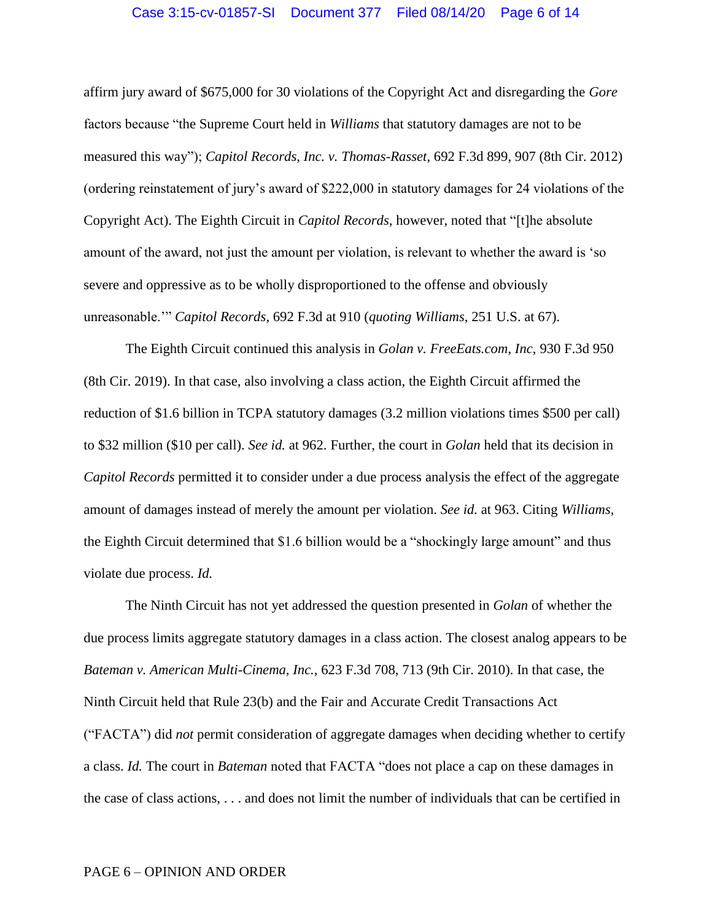#### Case 3:15-cv-01857-SI Document 377 Filed 08/14/20 Page 6 of 14

affirm jury award of \$675,000 for 30 violations of the Copyright Act and disregarding the *Gore* factors because "the Supreme Court held in *Williams* that statutory damages are not to be measured this way"); *Capitol Records, Inc. v. Thomas-Rasset*, 692 F.3d 899, 907 (8th Cir. 2012) (ordering reinstatement of jury's award of \$222,000 in statutory damages for 24 violations of the Copyright Act). The Eighth Circuit in *Capitol Records*, however, noted that "[t]he absolute amount of the award, not just the amount per violation, is relevant to whether the award is 'so severe and oppressive as to be wholly disproportioned to the offense and obviously unreasonable.'" *Capitol Records*, 692 F.3d at 910 (*quoting Williams*, 251 U.S. at 67).

The Eighth Circuit continued this analysis in *Golan v. FreeEats.com*, *Inc*, 930 F.3d 950 (8th Cir. 2019). In that case, also involving a class action, the Eighth Circuit affirmed the reduction of \$1.6 billion in TCPA statutory damages (3.2 million violations times \$500 per call) to \$32 million (\$10 per call). *See id.* at 962. Further, the court in *Golan* held that its decision in *Capitol Records* permitted it to consider under a due process analysis the effect of the aggregate amount of damages instead of merely the amount per violation. *See id.* at 963. Citing *Williams*, the Eighth Circuit determined that \$1.6 billion would be a "shockingly large amount" and thus violate due process. *Id.*

The Ninth Circuit has not yet addressed the question presented in *Golan* of whether the due process limits aggregate statutory damages in a class action. The closest analog appears to be *Bateman v. American Multi-Cinema, Inc.*, 623 F.3d 708, 713 (9th Cir. 2010). In that case, the Ninth Circuit held that Rule 23(b) and the Fair and Accurate Credit Transactions Act ("FACTA") did *not* permit consideration of aggregate damages when deciding whether to certify a class. *Id.* The court in *Bateman* noted that FACTA "does not place a cap on these damages in the case of class actions, . . . and does not limit the number of individuals that can be certified in

#### PAGE 6 – OPINION AND ORDER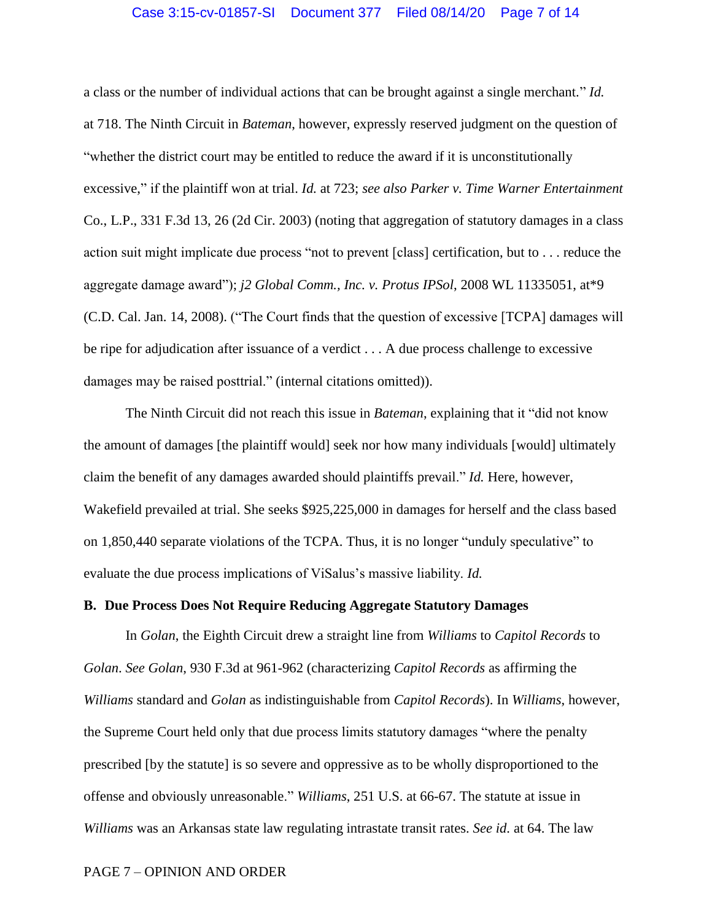#### Case 3:15-cv-01857-SI Document 377 Filed 08/14/20 Page 7 of 14

a class or the number of individual actions that can be brought against a single merchant." *Id.* at 718. The Ninth Circuit in *Bateman*, however, expressly reserved judgment on the question of "whether the district court may be entitled to reduce the award if it is unconstitutionally excessive," if the plaintiff won at trial. *Id.* at 723; *see also Parker v. Time Warner Entertainment* Co., L.P., 331 F.3d 13, 26 (2d Cir. 2003) (noting that aggregation of statutory damages in a class action suit might implicate due process "not to prevent [class] certification, but to . . . reduce the aggregate damage award"); *j2 Global Comm., Inc. v. Protus IPSol*, 2008 WL 11335051, at\*9 (C.D. Cal. Jan. 14, 2008). ("The Court finds that the question of excessive [TCPA] damages will be ripe for adjudication after issuance of a verdict . . . A due process challenge to excessive damages may be raised posttrial." (internal citations omitted)).

The Ninth Circuit did not reach this issue in *Bateman*, explaining that it "did not know the amount of damages [the plaintiff would] seek nor how many individuals [would] ultimately claim the benefit of any damages awarded should plaintiffs prevail." *Id.* Here, however, Wakefield prevailed at trial. She seeks \$925,225,000 in damages for herself and the class based on 1,850,440 separate violations of the TCPA. Thus, it is no longer "unduly speculative" to evaluate the due process implications of ViSalus's massive liability. *Id.*

## **B. Due Process Does Not Require Reducing Aggregate Statutory Damages**

In *Golan*, the Eighth Circuit drew a straight line from *Williams* to *Capitol Records* to *Golan*. *See Golan*, 930 F.3d at 961-962 (characterizing *Capitol Records* as affirming the *Williams* standard and *Golan* as indistinguishable from *Capitol Records*). In *Williams*, however, the Supreme Court held only that due process limits statutory damages "where the penalty prescribed [by the statute] is so severe and oppressive as to be wholly disproportioned to the offense and obviously unreasonable." *Williams*, 251 U.S. at 66-67. The statute at issue in *Williams* was an Arkansas state law regulating intrastate transit rates. *See id.* at 64. The law

#### PAGE 7 – OPINION AND ORDER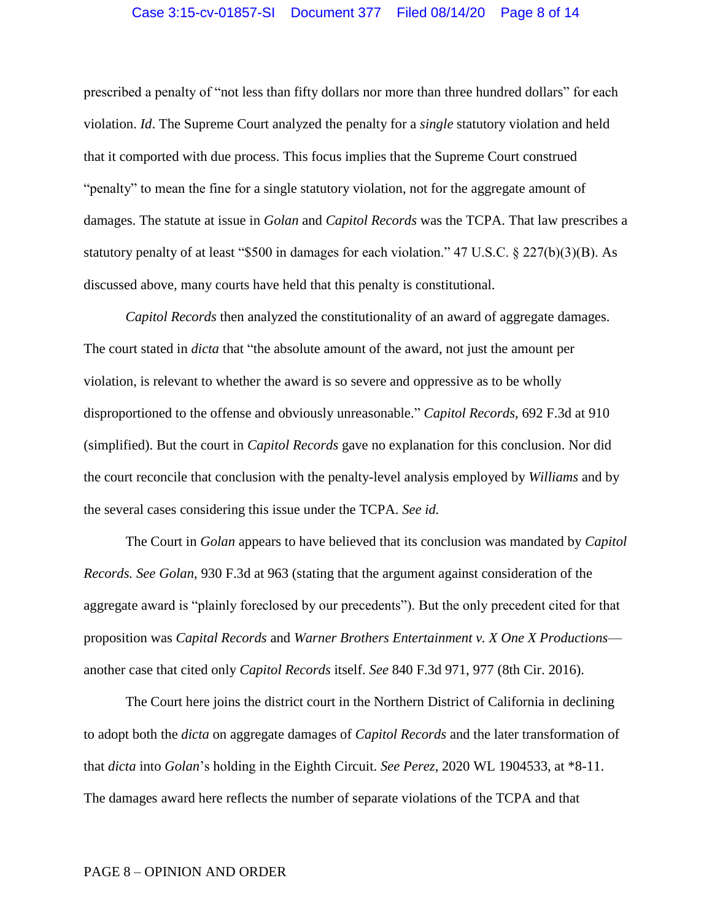#### Case 3:15-cv-01857-SI Document 377 Filed 08/14/20 Page 8 of 14

prescribed a penalty of "not less than fifty dollars nor more than three hundred dollars" for each violation. *Id*. The Supreme Court analyzed the penalty for a *single* statutory violation and held that it comported with due process. This focus implies that the Supreme Court construed "penalty" to mean the fine for a single statutory violation, not for the aggregate amount of damages. The statute at issue in *Golan* and *Capitol Records* was the TCPA. That law prescribes a statutory penalty of at least "\$500 in damages for each violation." 47 U.S.C. § 227(b)(3)(B). As discussed above, many courts have held that this penalty is constitutional.

*Capitol Records* then analyzed the constitutionality of an award of aggregate damages. The court stated in *dicta* that "the absolute amount of the award, not just the amount per violation, is relevant to whether the award is so severe and oppressive as to be wholly disproportioned to the offense and obviously unreasonable." *Capitol Records*, 692 F.3d at 910 (simplified). But the court in *Capitol Records* gave no explanation for this conclusion. Nor did the court reconcile that conclusion with the penalty-level analysis employed by *Williams* and by the several cases considering this issue under the TCPA. *See id.*

The Court in *Golan* appears to have believed that its conclusion was mandated by *Capitol Records. See Golan*, 930 F.3d at 963 (stating that the argument against consideration of the aggregate award is "plainly foreclosed by our precedents"). But the only precedent cited for that proposition was *Capital Records* and *Warner Brothers Entertainment v. X One X Productions* another case that cited only *Capitol Records* itself. *See* 840 F.3d 971, 977 (8th Cir. 2016).

The Court here joins the district court in the Northern District of California in declining to adopt both the *dicta* on aggregate damages of *Capitol Records* and the later transformation of that *dicta* into *Golan*'s holding in the Eighth Circuit. *See Perez*, 2020 WL 1904533, at \*8-11. The damages award here reflects the number of separate violations of the TCPA and that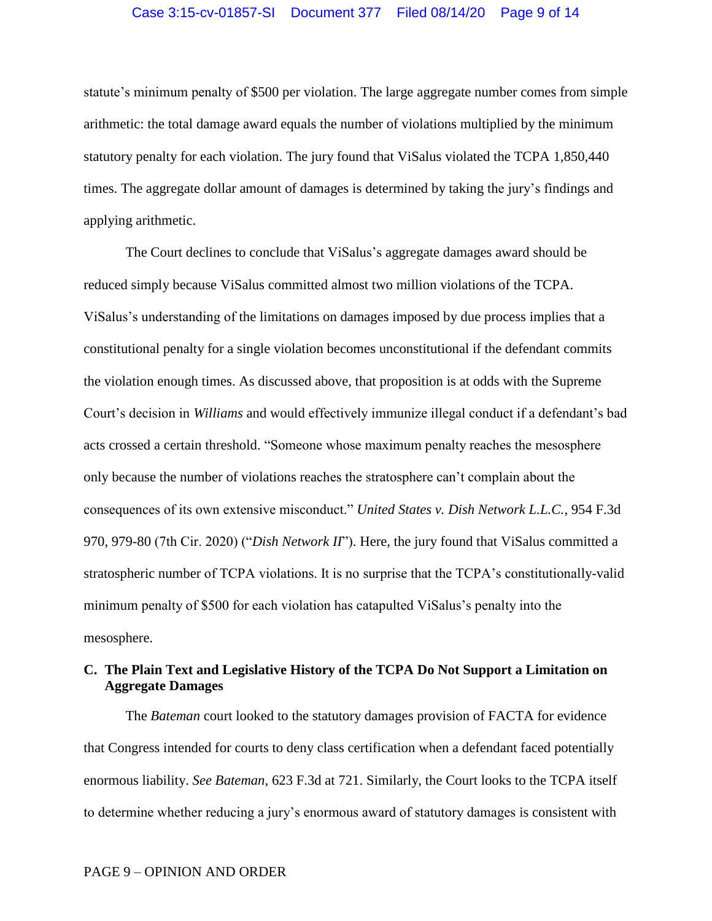#### Case 3:15-cv-01857-SI Document 377 Filed 08/14/20 Page 9 of 14

statute's minimum penalty of \$500 per violation. The large aggregate number comes from simple arithmetic: the total damage award equals the number of violations multiplied by the minimum statutory penalty for each violation. The jury found that ViSalus violated the TCPA 1,850,440 times. The aggregate dollar amount of damages is determined by taking the jury's findings and applying arithmetic.

The Court declines to conclude that ViSalus's aggregate damages award should be reduced simply because ViSalus committed almost two million violations of the TCPA. ViSalus's understanding of the limitations on damages imposed by due process implies that a constitutional penalty for a single violation becomes unconstitutional if the defendant commits the violation enough times. As discussed above, that proposition is at odds with the Supreme Court's decision in *Williams* and would effectively immunize illegal conduct if a defendant's bad acts crossed a certain threshold. "Someone whose maximum penalty reaches the mesosphere only because the number of violations reaches the stratosphere can't complain about the consequences of its own extensive misconduct." *United States v. Dish Network L.L.C.*, 954 F.3d 970, 979-80 (7th Cir. 2020) ("*Dish Network II*"). Here, the jury found that ViSalus committed a stratospheric number of TCPA violations. It is no surprise that the TCPA's constitutionally-valid minimum penalty of \$500 for each violation has catapulted ViSalus's penalty into the mesosphere.

# **C. The Plain Text and Legislative History of the TCPA Do Not Support a Limitation on Aggregate Damages**

The *Bateman* court looked to the statutory damages provision of FACTA for evidence that Congress intended for courts to deny class certification when a defendant faced potentially enormous liability. *See Bateman*, 623 F.3d at 721. Similarly, the Court looks to the TCPA itself to determine whether reducing a jury's enormous award of statutory damages is consistent with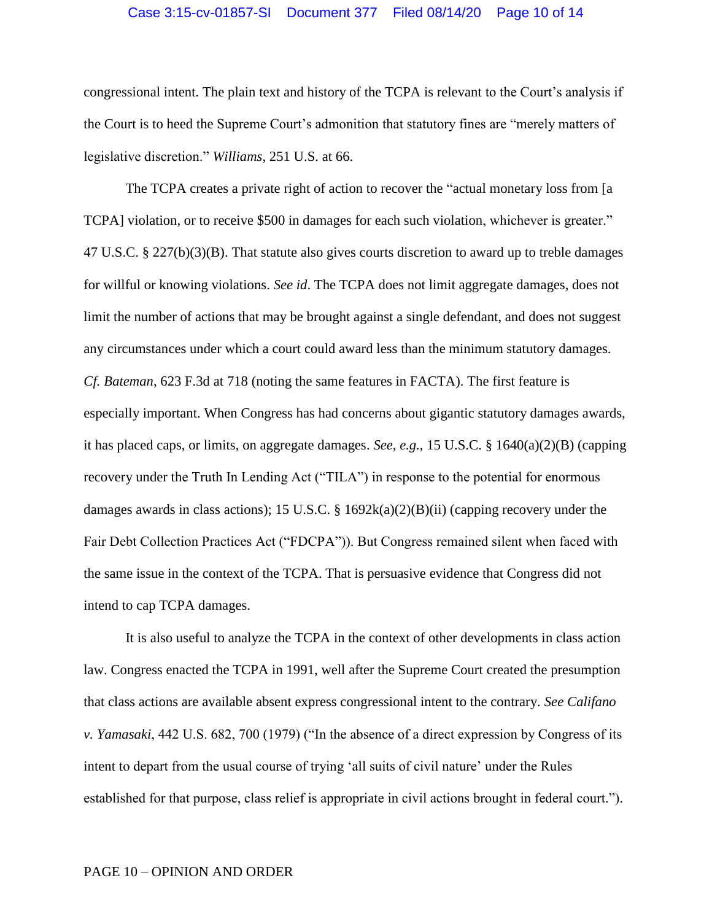## Case 3:15-cv-01857-SI Document 377 Filed 08/14/20 Page 10 of 14

congressional intent. The plain text and history of the TCPA is relevant to the Court's analysis if the Court is to heed the Supreme Court's admonition that statutory fines are "merely matters of legislative discretion." *Williams*, 251 U.S. at 66.

The TCPA creates a private right of action to recover the "actual monetary loss from [a TCPA] violation, or to receive \$500 in damages for each such violation, whichever is greater." 47 U.S.C. § 227(b)(3)(B). That statute also gives courts discretion to award up to treble damages for willful or knowing violations. *See id*. The TCPA does not limit aggregate damages, does not limit the number of actions that may be brought against a single defendant, and does not suggest any circumstances under which a court could award less than the minimum statutory damages. *Cf. Bateman*, 623 F.3d at 718 (noting the same features in FACTA). The first feature is especially important. When Congress has had concerns about gigantic statutory damages awards, it has placed caps, or limits, on aggregate damages. *See*, *e.g.*, 15 U.S.C. § 1640(a)(2)(B) (capping recovery under the Truth In Lending Act ("TILA") in response to the potential for enormous damages awards in class actions); 15 U.S.C. § 1692 $k(a)(2)(B)(ii)$  (capping recovery under the Fair Debt Collection Practices Act ("FDCPA")). But Congress remained silent when faced with the same issue in the context of the TCPA. That is persuasive evidence that Congress did not intend to cap TCPA damages.

It is also useful to analyze the TCPA in the context of other developments in class action law. Congress enacted the TCPA in 1991, well after the Supreme Court created the presumption that class actions are available absent express congressional intent to the contrary. *See Califano v. Yamasaki*, 442 U.S. 682, 700 (1979) ("In the absence of a direct expression by Congress of its intent to depart from the usual course of trying 'all suits of civil nature' under the Rules established for that purpose, class relief is appropriate in civil actions brought in federal court.").

#### PAGE 10 – OPINION AND ORDER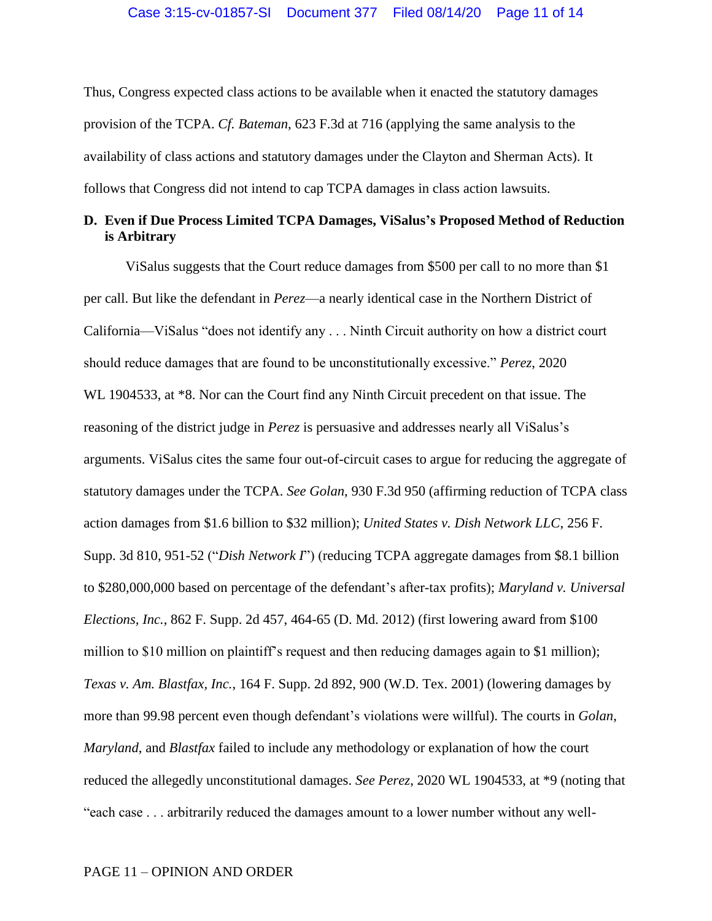Thus, Congress expected class actions to be available when it enacted the statutory damages provision of the TCPA. *Cf. Bateman*, 623 F.3d at 716 (applying the same analysis to the availability of class actions and statutory damages under the Clayton and Sherman Acts). It follows that Congress did not intend to cap TCPA damages in class action lawsuits.

## **D. Even if Due Process Limited TCPA Damages, ViSalus's Proposed Method of Reduction is Arbitrary**

ViSalus suggests that the Court reduce damages from \$500 per call to no more than \$1 per call. But like the defendant in *Perez*—a nearly identical case in the Northern District of California—ViSalus "does not identify any . . . Ninth Circuit authority on how a district court should reduce damages that are found to be unconstitutionally excessive." *Perez*, 2020 WL 1904533, at \*8. Nor can the Court find any Ninth Circuit precedent on that issue. The reasoning of the district judge in *Perez* is persuasive and addresses nearly all ViSalus's arguments. ViSalus cites the same four out-of-circuit cases to argue for reducing the aggregate of statutory damages under the TCPA. *See Golan*, 930 F.3d 950 (affirming reduction of TCPA class action damages from \$1.6 billion to \$32 million); *United States v. Dish Network LLC*, 256 F. Supp. 3d 810, 951-52 ("*Dish Network I*") (reducing TCPA aggregate damages from \$8.1 billion to \$280,000,000 based on percentage of the defendant's after-tax profits); *Maryland v. Universal Elections, Inc.*, 862 F. Supp. 2d 457, 464-65 (D. Md. 2012) (first lowering award from \$100 million to \$10 million on plaintiff's request and then reducing damages again to \$1 million); *Texas v. Am. Blastfax, Inc.*, 164 F. Supp. 2d 892, 900 (W.D. Tex. 2001) (lowering damages by more than 99.98 percent even though defendant's violations were willful). The courts in *Golan*, *Maryland*, and *Blastfax* failed to include any methodology or explanation of how the court reduced the allegedly unconstitutional damages. *See Perez*, 2020 WL 1904533, at \*9 (noting that "each case . . . arbitrarily reduced the damages amount to a lower number without any well-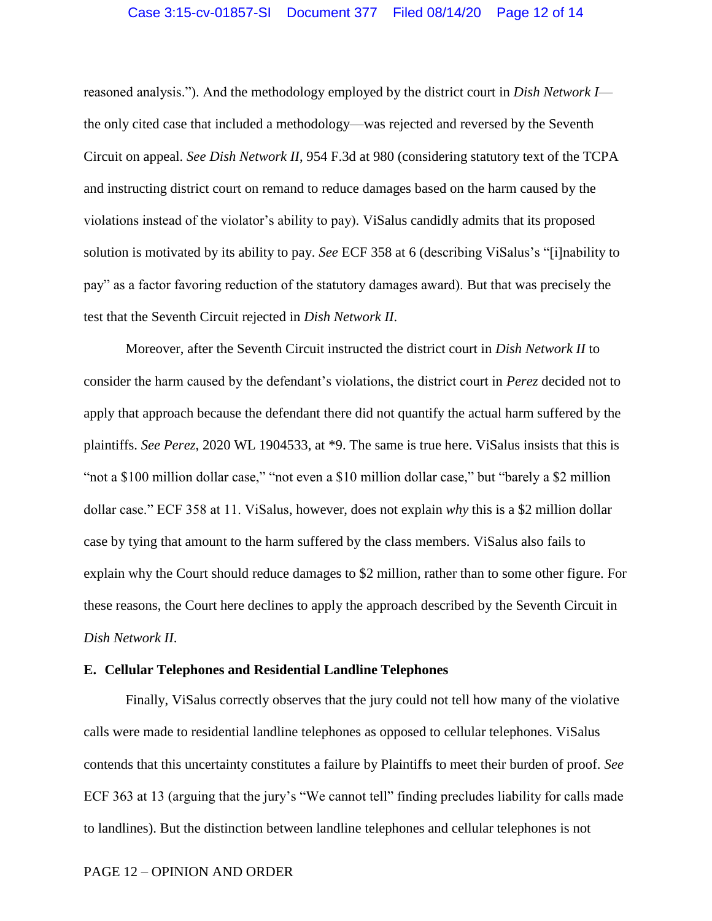## Case 3:15-cv-01857-SI Document 377 Filed 08/14/20 Page 12 of 14

reasoned analysis."). And the methodology employed by the district court in *Dish Network I* the only cited case that included a methodology—was rejected and reversed by the Seventh Circuit on appeal. *See Dish Network II*, 954 F.3d at 980 (considering statutory text of the TCPA and instructing district court on remand to reduce damages based on the harm caused by the violations instead of the violator's ability to pay). ViSalus candidly admits that its proposed solution is motivated by its ability to pay. *See* ECF 358 at 6 (describing ViSalus's "[i]nability to pay" as a factor favoring reduction of the statutory damages award). But that was precisely the test that the Seventh Circuit rejected in *Dish Network II*.

Moreover, after the Seventh Circuit instructed the district court in *Dish Network II* to consider the harm caused by the defendant's violations, the district court in *Perez* decided not to apply that approach because the defendant there did not quantify the actual harm suffered by the plaintiffs. *See Perez*, 2020 WL 1904533, at \*9. The same is true here. ViSalus insists that this is "not a \$100 million dollar case," "not even a \$10 million dollar case," but "barely a \$2 million dollar case." ECF 358 at 11. ViSalus, however, does not explain *why* this is a \$2 million dollar case by tying that amount to the harm suffered by the class members. ViSalus also fails to explain why the Court should reduce damages to \$2 million, rather than to some other figure. For these reasons, the Court here declines to apply the approach described by the Seventh Circuit in *Dish Network II*.

## **E. Cellular Telephones and Residential Landline Telephones**

Finally, ViSalus correctly observes that the jury could not tell how many of the violative calls were made to residential landline telephones as opposed to cellular telephones. ViSalus contends that this uncertainty constitutes a failure by Plaintiffs to meet their burden of proof. *See* ECF 363 at 13 (arguing that the jury's "We cannot tell" finding precludes liability for calls made to landlines). But the distinction between landline telephones and cellular telephones is not

## PAGE 12 – OPINION AND ORDER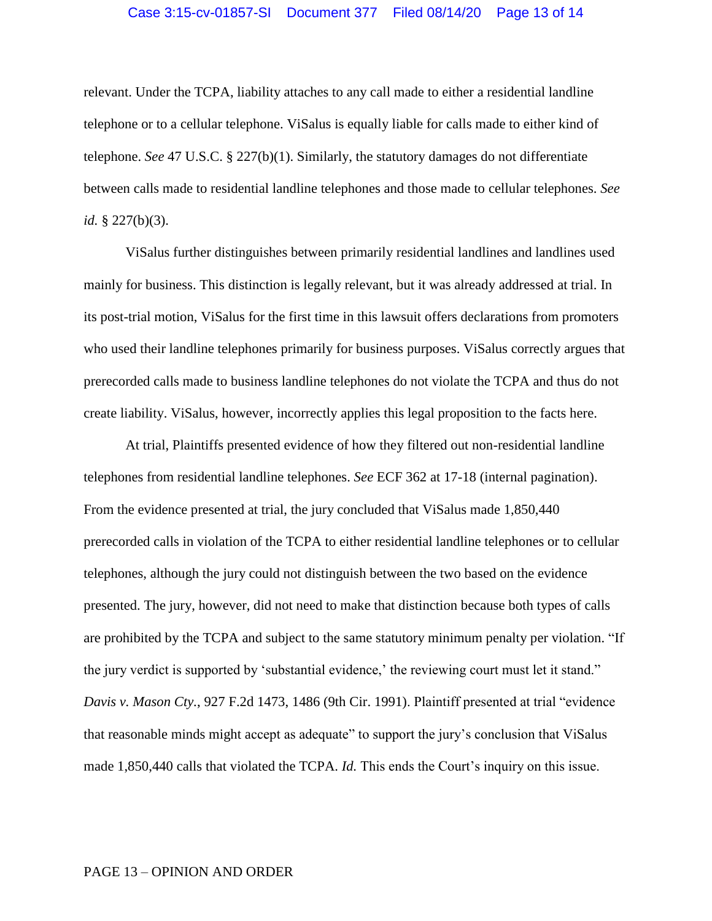## Case 3:15-cv-01857-SI Document 377 Filed 08/14/20 Page 13 of 14

relevant. Under the TCPA, liability attaches to any call made to either a residential landline telephone or to a cellular telephone. ViSalus is equally liable for calls made to either kind of telephone. *See* 47 U.S.C. § 227(b)(1). Similarly, the statutory damages do not differentiate between calls made to residential landline telephones and those made to cellular telephones. *See id.* § 227(b)(3).

ViSalus further distinguishes between primarily residential landlines and landlines used mainly for business. This distinction is legally relevant, but it was already addressed at trial. In its post-trial motion, ViSalus for the first time in this lawsuit offers declarations from promoters who used their landline telephones primarily for business purposes. ViSalus correctly argues that prerecorded calls made to business landline telephones do not violate the TCPA and thus do not create liability. ViSalus, however, incorrectly applies this legal proposition to the facts here.

At trial, Plaintiffs presented evidence of how they filtered out non-residential landline telephones from residential landline telephones. *See* ECF 362 at 17-18 (internal pagination). From the evidence presented at trial, the jury concluded that ViSalus made 1,850,440 prerecorded calls in violation of the TCPA to either residential landline telephones or to cellular telephones, although the jury could not distinguish between the two based on the evidence presented. The jury, however, did not need to make that distinction because both types of calls are prohibited by the TCPA and subject to the same statutory minimum penalty per violation. "If the jury verdict is supported by 'substantial evidence,' the reviewing court must let it stand." *Davis v. Mason Cty.*, 927 F.2d 1473, 1486 (9th Cir. 1991). Plaintiff presented at trial "evidence that reasonable minds might accept as adequate" to support the jury's conclusion that ViSalus made 1,850,440 calls that violated the TCPA. *Id.* This ends the Court's inquiry on this issue.